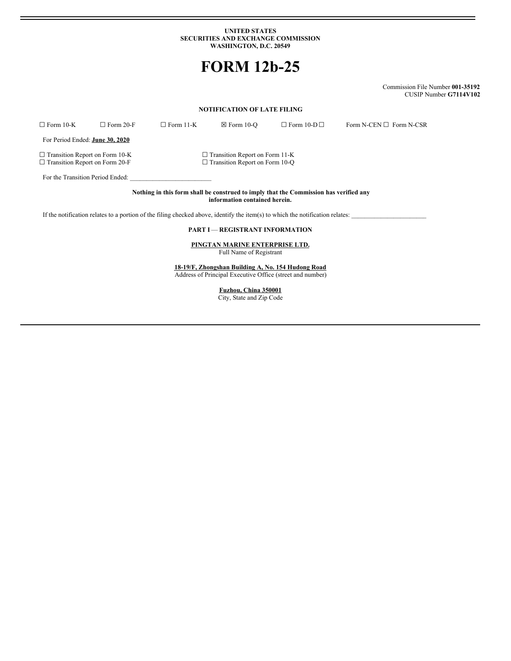#### **UNITED STATES SECURITIES AND EXCHANGE COMMISSION WASHINGTON, D.C. 20549**

# **FORM 12b-25**

Commission File Number **001-35192** CUSIP Number **G7114V102**

# **NOTIFICATION OF LATE FILING**

| $\Box$ Form 10-K                                                                                                       | $\Box$ Form 20-F | $\Box$ Form 11-K | $\boxtimes$ Form 10-O                                                          | $\Box$ Form 10-D $\Box$ | Form N-CEN $\square$ Form N-CSR |  |  |
|------------------------------------------------------------------------------------------------------------------------|------------------|------------------|--------------------------------------------------------------------------------|-------------------------|---------------------------------|--|--|
| For Period Ended: <b>June 30, 2020</b>                                                                                 |                  |                  |                                                                                |                         |                                 |  |  |
| $\Box$ Transition Report on Form 10-K<br>$\Box$ Transition Report on Form 20-F                                         |                  |                  | $\Box$ Transition Report on Form 11-K<br>$\Box$ Transition Report on Form 10-O |                         |                                 |  |  |
| For the Transition Period Ended:                                                                                       |                  |                  |                                                                                |                         |                                 |  |  |
| Nothing in this form shall be construed to imply that the Commission has verified any<br>information contained herein. |                  |                  |                                                                                |                         |                                 |  |  |

If the notification relates to a portion of the filing checked above, identify the item(s) to which the notification relates:  $\Box$ 

# **PART I** — **REGISTRANT INFORMATION**

**PINGTAN MARINE ENTERPRISE LTD.** Full Name of Registrant

**18-19/F, Zhongshan Building A, No. 154 Hudong Road** Address of Principal Executive Office (street and number)

> **Fuzhou, China 350001** City, State and Zip Code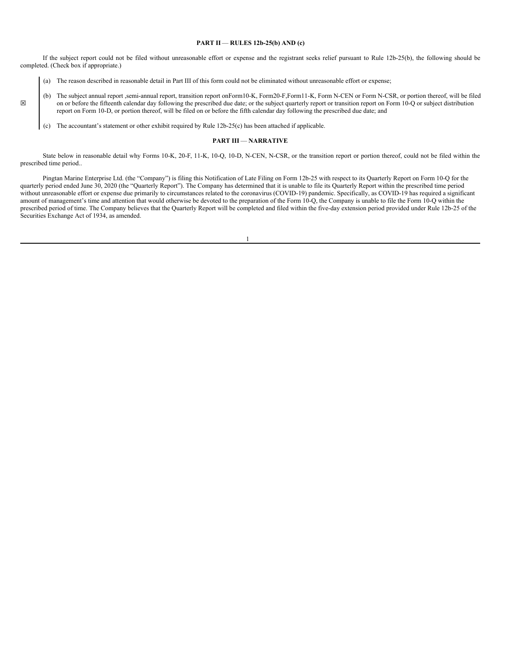#### **PART II** — **RULES 12b-25(b) AND (c)**

If the subject report could not be filed without unreasonable effort or expense and the registrant seeks relief pursuant to Rule 12b-25(b), the following should be completed. (Check box if appropriate.)

- (a) The reason described in reasonable detail in Part III of this form could not be eliminated without unreasonable effort or expense;
- (b) The subject annual report ,semi-annual report, transition report onForm10-K, Form20-F,Form11-K, Form N-CEN or Form N-CSR, or portion thereof, will be filed on or before the fifteenth calendar day following the prescribed due date; or the subject quarterly report or transition report on Form 10-Q or subject distribution report on Form 10-D, or portion thereof, will be filed on or before the fifth calendar day following the prescribed due date; and
	- (c) The accountant's statement or other exhibit required by Rule 12b-25(c) has been attached if applicable.

#### **PART III** — **NARRATIVE**

State below in reasonable detail why Forms 10-K, 20-F, 11-K, 10-Q, 10-D, N-CEN, N-CSR, or the transition report or portion thereof, could not be filed within the prescribed time period..

Pingtan Marine Enterprise Ltd. (the "Company") is filing this Notification of Late Filing on Form 12b-25 with respect to its Quarterly Report on Form 10-Q for the quarterly period ended June 30, 2020 (the "Quarterly Report"). The Company has determined that it is unable to file its Quarterly Report within the prescribed time period without unreasonable effort or expense due primarily to circumstances related to the coronavirus (COVID-19) pandemic. Specifically, as COVID-19 has required a significant amount of management's time and attention that would otherwise be devoted to the preparation of the Form 10-Q, the Company is unable to file the Form 10-Q within the prescribed period of time. The Company believes that the Quarterly Report will be completed and filed within the five-day extension period provided under Rule 12b-25 of the Securities Exchange Act of 1934, as amended.

☒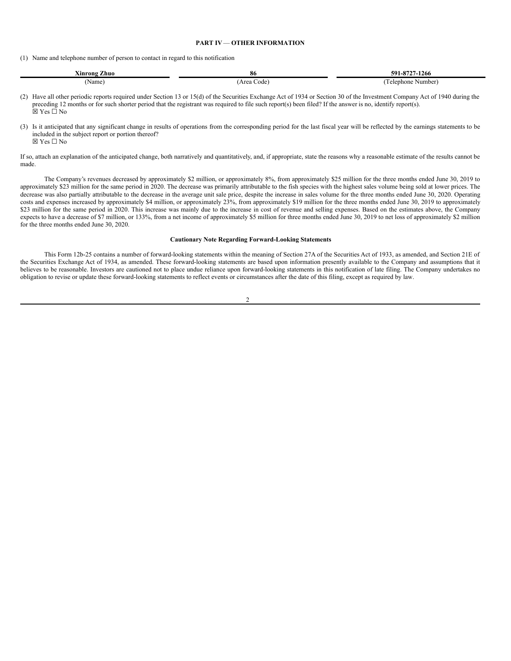# **PART IV**— **OTHER INFORMATION**

(1) Name and telephone number of person to contact in regard to this notification

| ---<br>'Zhuo<br>Xinrong | -80               | 591.<br>$-1266$<br>$^{\circ}$<br> |
|-------------------------|-------------------|-----------------------------------|
| Name                    | Code<br>Area<br>. | .: Number'<br>elephone            |

(2) Have all other periodic reports required under Section 13 or 15(d) of the Securities Exchange Act of 1934 or Section 30 of the Investment Company Act of 1940 during the preceding 12 months or for such shorter period that the registrant was required to file such report(s) been filed? If the answer is no, identify report(s). ☒ Yes ☐ No

(3) Is it anticipated that any significant change in results of operations from the corresponding period for the last fiscal year will be reflected by the earnings statements to be included in the subject report or portion thereof? ☒ Yes ☐ No

If so, attach an explanation of the anticipated change, both narratively and quantitatively, and, if appropriate, state the reasons why a reasonable estimate of the results cannot be made.

The Company's revenues decreased by approximately \$2 million, or approximately 8%, from approximately \$25 million for the three months ended June 30, 2019 to approximately \$23 million for the same period in 2020. The decrease was primarily attributable to the fish species with the highest sales volume being sold at lower prices. The decrease was also partially attributable to the decrease in the average unit sale price, despite the increase in sales volume for the three months ended June 30, 2020. Operating costs and expenses increased by approximately \$4 million, or approximately 23%, from approximately \$19 million for the three months ended June 30, 2019 to approximately \$23 million for the same period in 2020. This increase was mainly due to the increase in cost of revenue and selling expenses. Based on the estimates above, the Company expects to have a decrease of \$7 million, or 133%, from a net income of approximately \$5 million for three months ended June 30, 2019 to net loss of approximately \$2 million for the three months ended June 30, 2020.

### **Cautionary Note Regarding Forward-Looking Statements**

This Form 12b-25 contains a number of forward-looking statements within the meaning of Section 27A of the Securities Act of 1933, as amended, and Section 21E of the Securities Exchange Act of 1934, as amended. These forward-looking statements are based upon information presently available to the Company and assumptions that it believes to be reasonable. Investors are cautioned not to place undue reliance upon forward-looking statements in this notification of late filing. The Company undertakes no obligation to revise or update these forward-looking statements to reflect events or circumstances after the date of this filing, except as required by law.

#### $\overline{2}$